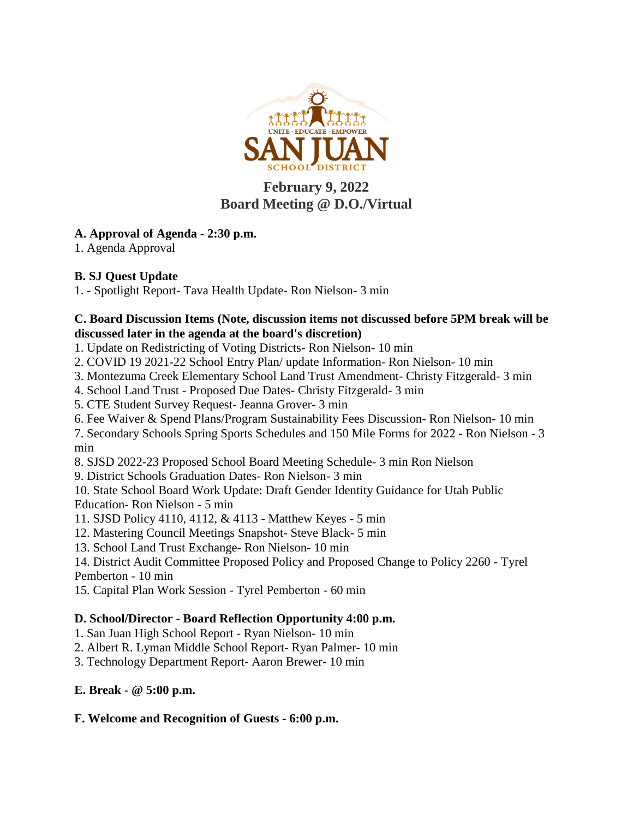

# **February 9, 2022 Board Meeting @ D.O./Virtual**

## **A. Approval of Agenda - 2:30 p.m.**

1. Agenda Approval

## **B. SJ Quest Update**

1. - Spotlight Report- Tava Health Update- Ron Nielson- 3 min

#### **C. Board Discussion Items (Note, discussion items not discussed before 5PM break will be discussed later in the agenda at the board's discretion)**

1. Update on Redistricting of Voting Districts- Ron Nielson- 10 min

- 2. COVID 19 2021-22 School Entry Plan/ update Information- Ron Nielson- 10 min
- 3. Montezuma Creek Elementary School Land Trust Amendment- Christy Fitzgerald- 3 min
- 4. School Land Trust Proposed Due Dates- Christy Fitzgerald- 3 min
- 5. CTE Student Survey Request- Jeanna Grover- 3 min
- 6. Fee Waiver & Spend Plans/Program Sustainability Fees Discussion- Ron Nielson- 10 min

7. Secondary Schools Spring Sports Schedules and 150 Mile Forms for 2022 - Ron Nielson - 3 min

- 8. SJSD 2022-23 Proposed School Board Meeting Schedule- 3 min Ron Nielson
- 9. District Schools Graduation Dates- Ron Nielson- 3 min

10. State School Board Work Update: Draft Gender Identity Guidance for Utah Public Education- Ron Nielson - 5 min

- 11. SJSD Policy 4110, 4112, & 4113 Matthew Keyes 5 min
- 12. Mastering Council Meetings Snapshot- Steve Black- 5 min
- 13. School Land Trust Exchange- Ron Nielson- 10 min

14. District Audit Committee Proposed Policy and Proposed Change to Policy 2260 - Tyrel Pemberton - 10 min

15. Capital Plan Work Session - Tyrel Pemberton - 60 min

## **D. School/Director - Board Reflection Opportunity 4:00 p.m.**

1. San Juan High School Report - Ryan Nielson- 10 min

2. Albert R. Lyman Middle School Report- Ryan Palmer- 10 min

3. Technology Department Report- Aaron Brewer- 10 min

**E. Break - @ 5:00 p.m.**

### **F. Welcome and Recognition of Guests - 6:00 p.m.**